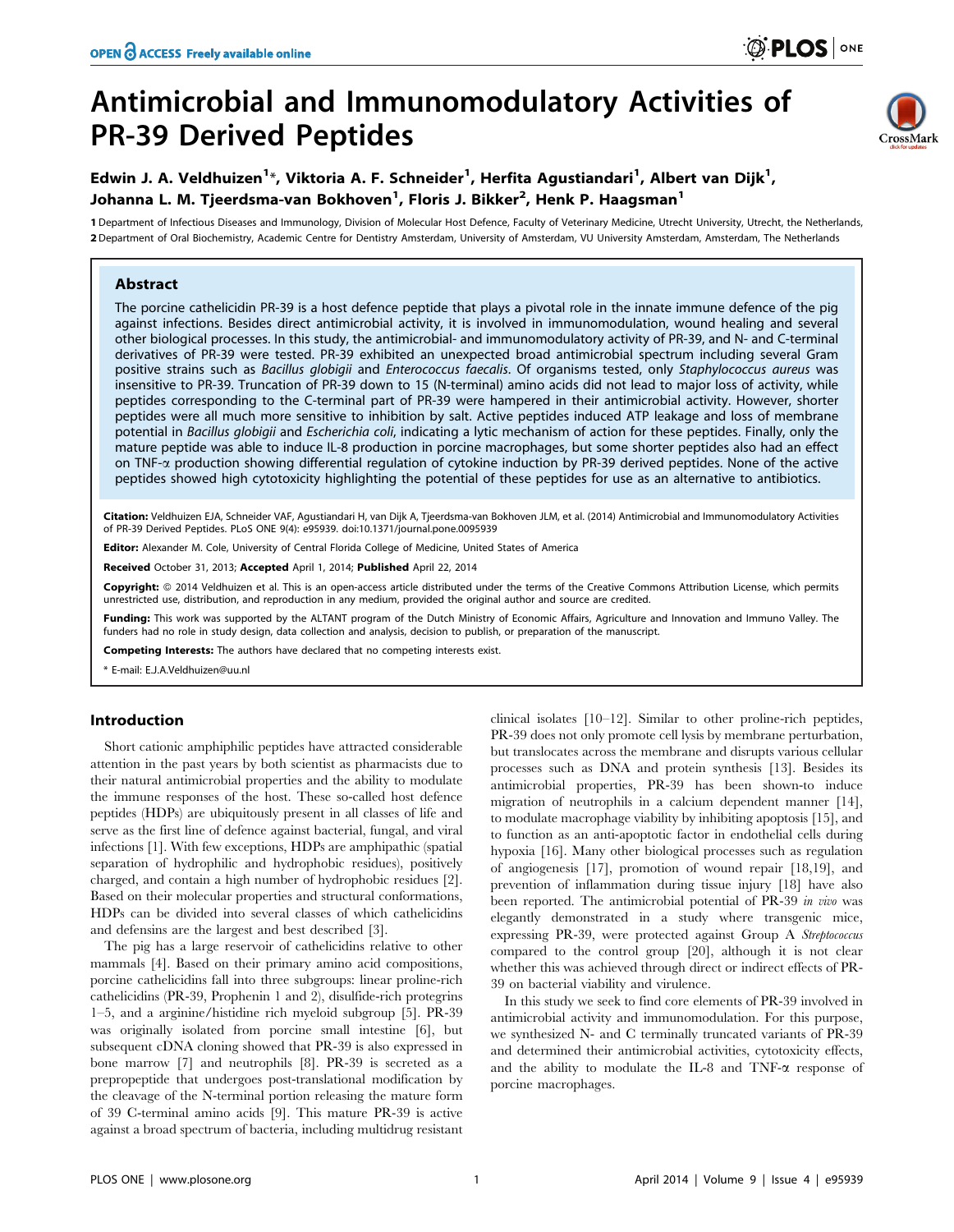# Antimicrobial and Immunomodulatory Activities of PR-39 Derived Peptides



# Edwin J. A. Veldhuizen $^{1*}$ , Viktoria A. F. Schneider $^{1}$ , Herfita Agustiandari $^{1}$ , Albert van Dijk $^{1}$ , Johanna L. M. Tjeerdsma-van Bokhoven<sup>1</sup>, Floris J. Bikker<sup>2</sup>, Henk P. Haagsman<sup>1</sup>

1 Department of Infectious Diseases and Immunology, Division of Molecular Host Defence, Faculty of Veterinary Medicine, Utrecht University, Utrecht, the Netherlands, 2 Department of Oral Biochemistry, Academic Centre for Dentistry Amsterdam, University of Amsterdam, VU University Amsterdam, Amsterdam, The Netherlands

# Abstract

The porcine cathelicidin PR-39 is a host defence peptide that plays a pivotal role in the innate immune defence of the pig against infections. Besides direct antimicrobial activity, it is involved in immunomodulation, wound healing and several other biological processes. In this study, the antimicrobial- and immunomodulatory activity of PR-39, and N- and C-terminal derivatives of PR-39 were tested. PR-39 exhibited an unexpected broad antimicrobial spectrum including several Gram positive strains such as Bacillus globigii and Enterococcus faecalis. Of organisms tested, only Staphylococcus aureus was insensitive to PR-39. Truncation of PR-39 down to 15 (N-terminal) amino acids did not lead to major loss of activity, while peptides corresponding to the C-terminal part of PR-39 were hampered in their antimicrobial activity. However, shorter peptides were all much more sensitive to inhibition by salt. Active peptides induced ATP leakage and loss of membrane potential in Bacillus globigii and Escherichia coli, indicating a lytic mechanism of action for these peptides. Finally, only the mature peptide was able to induce IL-8 production in porcine macrophages, but some shorter peptides also had an effect on TNF-a production showing differential regulation of cytokine induction by PR-39 derived peptides. None of the active peptides showed high cytotoxicity highlighting the potential of these peptides for use as an alternative to antibiotics.

Citation: Veldhuizen EJA, Schneider VAF, Agustiandari H, van Dijk A, Tjeerdsma-van Bokhoven JLM, et al. (2014) Antimicrobial and Immunomodulatory Activities of PR-39 Derived Peptides. PLoS ONE 9(4): e95939. doi:10.1371/journal.pone.0095939

Editor: Alexander M. Cole, University of Central Florida College of Medicine, United States of America

Received October 31, 2013; Accepted April 1, 2014; Published April 22, 2014

Copyright: © 2014 Veldhuizen et al. This is an open-access article distributed under the terms of the [Creative Commons Attribution License](http://creativecommons.org/licenses/by/4.0/), which permits unrestricted use, distribution, and reproduction in any medium, provided the original author and source are credited.

Funding: This work was supported by the ALTANT program of the Dutch Ministry of Economic Affairs, Agriculture and Innovation and Immuno Valley. The funders had no role in study design, data collection and analysis, decision to publish, or preparation of the manuscript.

Competing Interests: The authors have declared that no competing interests exist.

\* E-mail: E.J.A.Veldhuizen@uu.nl

# Introduction

Short cationic amphiphilic peptides have attracted considerable attention in the past years by both scientist as pharmacists due to their natural antimicrobial properties and the ability to modulate the immune responses of the host. These so-called host defence peptides (HDPs) are ubiquitously present in all classes of life and serve as the first line of defence against bacterial, fungal, and viral infections [1]. With few exceptions, HDPs are amphipathic (spatial separation of hydrophilic and hydrophobic residues), positively charged, and contain a high number of hydrophobic residues [2]. Based on their molecular properties and structural conformations, HDPs can be divided into several classes of which cathelicidins and defensins are the largest and best described [3].

The pig has a large reservoir of cathelicidins relative to other mammals [4]. Based on their primary amino acid compositions, porcine cathelicidins fall into three subgroups: linear proline-rich cathelicidins (PR-39, Prophenin 1 and 2), disulfide-rich protegrins 1–5, and a arginine/histidine rich myeloid subgroup [5]. PR-39 was originally isolated from porcine small intestine [6], but subsequent cDNA cloning showed that PR-39 is also expressed in bone marrow [7] and neutrophils [8]. PR-39 is secreted as a prepropeptide that undergoes post-translational modification by the cleavage of the N-terminal portion releasing the mature form of 39 C-terminal amino acids [9]. This mature PR-39 is active against a broad spectrum of bacteria, including multidrug resistant

clinical isolates [10–12]. Similar to other proline-rich peptides, PR-39 does not only promote cell lysis by membrane perturbation, but translocates across the membrane and disrupts various cellular processes such as DNA and protein synthesis [13]. Besides its antimicrobial properties, PR-39 has been shown-to induce migration of neutrophils in a calcium dependent manner [14], to modulate macrophage viability by inhibiting apoptosis [15], and to function as an anti-apoptotic factor in endothelial cells during hypoxia [16]. Many other biological processes such as regulation of angiogenesis [17], promotion of wound repair [18,19], and prevention of inflammation during tissue injury [18] have also been reported. The antimicrobial potential of PR-39 in vivo was elegantly demonstrated in a study where transgenic mice, expressing PR-39, were protected against Group A Streptococcus compared to the control group [20], although it is not clear whether this was achieved through direct or indirect effects of PR-39 on bacterial viability and virulence.

In this study we seek to find core elements of PR-39 involved in antimicrobial activity and immunomodulation. For this purpose, we synthesized N- and C terminally truncated variants of PR-39 and determined their antimicrobial activities, cytotoxicity effects, and the ability to modulate the IL-8 and TNF- $\alpha$  response of porcine macrophages.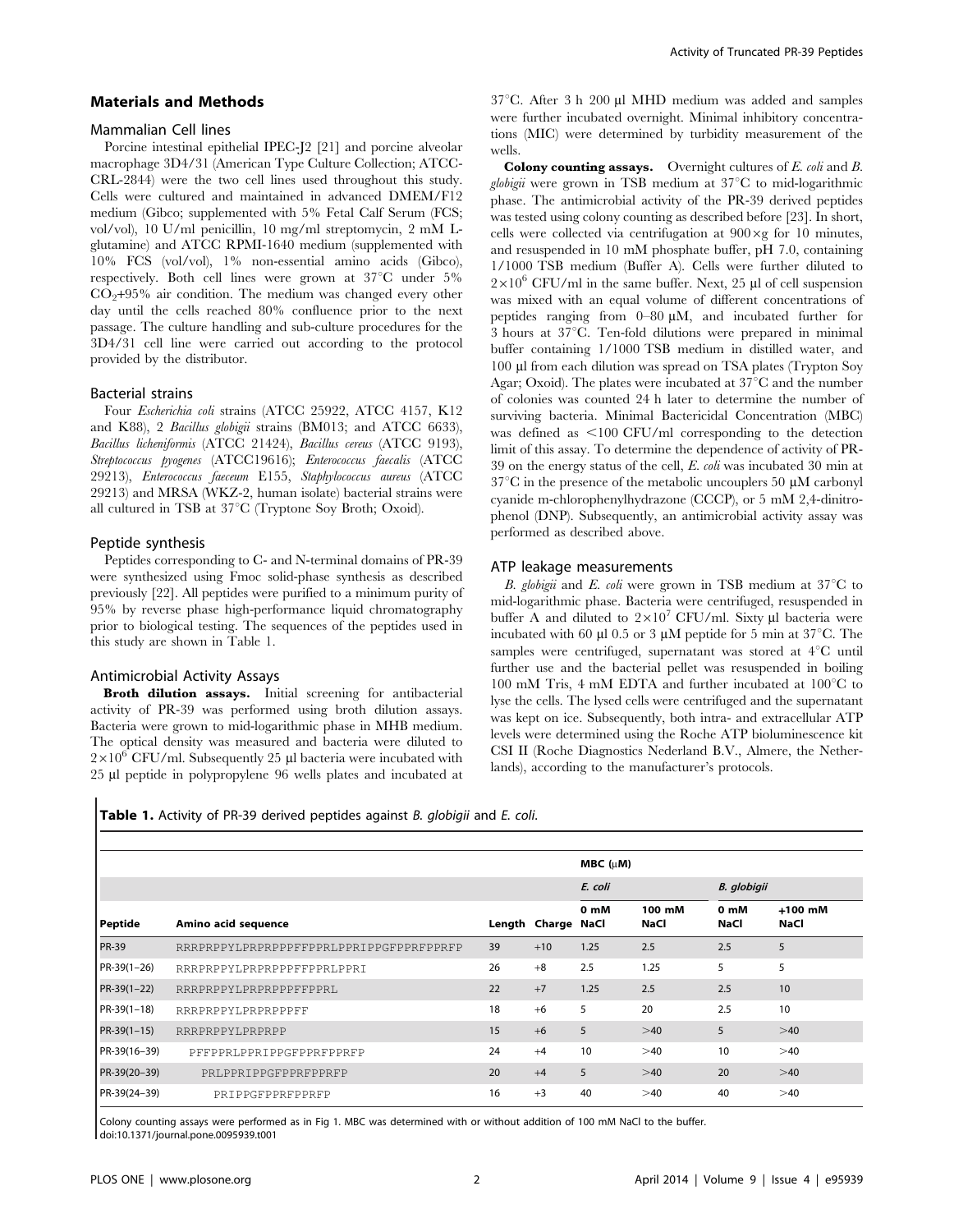# Materials and Methods

#### Mammalian Cell lines

Porcine intestinal epithelial IPEC-J2 [21] and porcine alveolar macrophage 3D4/31 (American Type Culture Collection; ATCC-CRL-2844) were the two cell lines used throughout this study. Cells were cultured and maintained in advanced DMEM/F12 medium (Gibco; supplemented with 5% Fetal Calf Serum (FCS; vol/vol), 10 U/ml penicillin, 10 mg/ml streptomycin, 2 mM Lglutamine) and ATCC RPMI-1640 medium (supplemented with 10% FCS (vol/vol), 1% non-essential amino acids (Gibco), respectively. Both cell lines were grown at  $37^{\circ}$ C under  $5\%$  $CO<sub>2</sub>+95%$  air condition. The medium was changed every other day until the cells reached 80% confluence prior to the next passage. The culture handling and sub-culture procedures for the 3D4/31 cell line were carried out according to the protocol provided by the distributor.

#### Bacterial strains

Four Escherichia coli strains (ATCC 25922, ATCC 4157, K12 and K88), 2 Bacillus globigii strains (BM013; and ATCC 6633), Bacillus licheniformis (ATCC 21424), Bacillus cereus (ATCC 9193), Streptococcus pyogenes (ATCC19616); Enterococcus faecalis (ATCC 29213), Enterococcus faeceum E155, Staphylococcus aureus (ATCC 29213) and MRSA (WKZ-2, human isolate) bacterial strains were all cultured in TSB at  $37^{\circ}$ C (Tryptone Soy Broth; Oxoid).

#### Peptide synthesis

Peptides corresponding to C- and N-terminal domains of PR-39 were synthesized using Fmoc solid-phase synthesis as described previously [22]. All peptides were purified to a minimum purity of 95% by reverse phase high-performance liquid chromatography prior to biological testing. The sequences of the peptides used in this study are shown in Table 1.

#### Antimicrobial Activity Assays

Broth dilution assays. Initial screening for antibacterial activity of PR-39 was performed using broth dilution assays. Bacteria were grown to mid-logarithmic phase in MHB medium. The optical density was measured and bacteria were diluted to  $2\times10^{6}$  CFU/ml. Subsequently 25 ul bacteria were incubated with 25 ml peptide in polypropylene 96 wells plates and incubated at  $37^{\circ}$ C. After 3 h 200 µl MHD medium was added and samples were further incubated overnight. Minimal inhibitory concentrations (MIC) were determined by turbidity measurement of the wells.

Colony counting assays. Overnight cultures of E. coli and B. globigii were grown in TSB medium at  $37^{\circ}$ C to mid-logarithmic phase. The antimicrobial activity of the PR-39 derived peptides was tested using colony counting as described before [23]. In short, cells were collected via centrifugation at  $900 \times g$  for 10 minutes, and resuspended in 10 mM phosphate buffer, pH 7.0, containing 1/1000 TSB medium (Buffer A). Cells were further diluted to  $2\times10^6$  CFU/ml in the same buffer. Next, 25 µl of cell suspension was mixed with an equal volume of different concentrations of peptides ranging from  $0-80 \mu M$ , and incubated further for  $3$  hours at  $37^{\circ}$ C. Ten-fold dilutions were prepared in minimal buffer containing 1/1000 TSB medium in distilled water, and 100 ml from each dilution was spread on TSA plates (Trypton Soy Agar; Oxoid). The plates were incubated at  $37^{\circ}$ C and the number of colonies was counted 24 h later to determine the number of surviving bacteria. Minimal Bactericidal Concentration (MBC) was defined as  $\leq$ 100 CFU/ml corresponding to the detection limit of this assay. To determine the dependence of activity of PR-39 on the energy status of the cell, E. coli was incubated 30 min at  $37^{\circ}$ C in the presence of the metabolic uncouplers 50 µM carbonyl cyanide m-chlorophenylhydrazone (CCCP), or 5 mM 2,4-dinitrophenol (DNP). Subsequently, an antimicrobial activity assay was performed as described above.

# ATP leakage measurements

B. globigii and E. coli were grown in TSB medium at  $37^{\circ}$ C to mid-logarithmic phase. Bacteria were centrifuged, resuspended in buffer A and diluted to  $2\times10^7$  CFU/ml. Sixty µl bacteria were incubated with 60  $\mu$ l 0.5 or 3  $\mu$ M peptide for 5 min at 37<sup>°</sup>C. The samples were centrifuged, supernatant was stored at  $4^{\circ}$ C until further use and the bacterial pellet was resuspended in boiling  $100 \text{ mM}$  Tris, 4 mM EDTA and further incubated at  $100^{\circ}$ C to lyse the cells. The lysed cells were centrifuged and the supernatant was kept on ice. Subsequently, both intra- and extracellular ATP levels were determined using the Roche ATP bioluminescence kit CSI II (Roche Diagnostics Nederland B.V., Almere, the Netherlands), according to the manufacturer's protocols.

Table 1. Activity of PR-39 derived peptides against B. globigii and E. coli.

| <b>Peptide</b> | Amino acid sequence                     |    | Length Charge NaCl | $MBC$ ( $\mu$ M) |                |              |                   |
|----------------|-----------------------------------------|----|--------------------|------------------|----------------|--------------|-------------------|
|                |                                         |    |                    | E. coli          |                | B. globigii  |                   |
|                |                                         |    |                    | 0 mM             | 100 mM<br>NaCl | 0 mM<br>NaCl | $+100$ mM<br>NaCl |
| <b>PR-39</b>   | RRRPRPPYLPRPRPPPFFPPRLPPRIPPGFPPRFPPRFP | 39 | $+10$              | 1.25             | 2.5            | 2.5          | 5                 |
| $PR-39(1-26)$  | RRRPRPPYLPRPRPPPFFPPRLPPRI              | 26 | $+8$               | 2.5              | 1.25           | 5            | 5                 |
| $PR-39(1-22)$  | RRRPRPPYLPRPRPPPFFPPRL                  | 22 | $+7$               | 1.25             | 2.5            | 2.5          | 10                |
| $PR-39(1-18)$  | RRRPRPPYLPRPRPPPFF                      | 18 | $+6$               | 5                | 20             | 2.5          | 10                |
| $PR-39(1-15)$  | RRRPRPPYLPRPRPP                         | 15 | $+6$               | 5                | >40            | 5            | >40               |
| PR-39(16-39)   | PFFPPRLPPRIPPGFPPRFPPRFP                | 24 | $+4$               | 10               | >40            | 10           | >40               |
| PR-39(20-39)   | PRLPPRIPPGFPPRFPPRFP                    | 20 | $+4$               | 5                | >40            | 20           | >40               |
| PR-39(24-39)   | PRIPPGFPPRFPPRFP                        | 16 | $+3$               | 40               | >40            | 40           | >40               |

Colony counting assays were performed as in Fig 1. MBC was determined with or without addition of 100 mM NaCl to the buffer. doi:10.1371/journal.pone.0095939.t001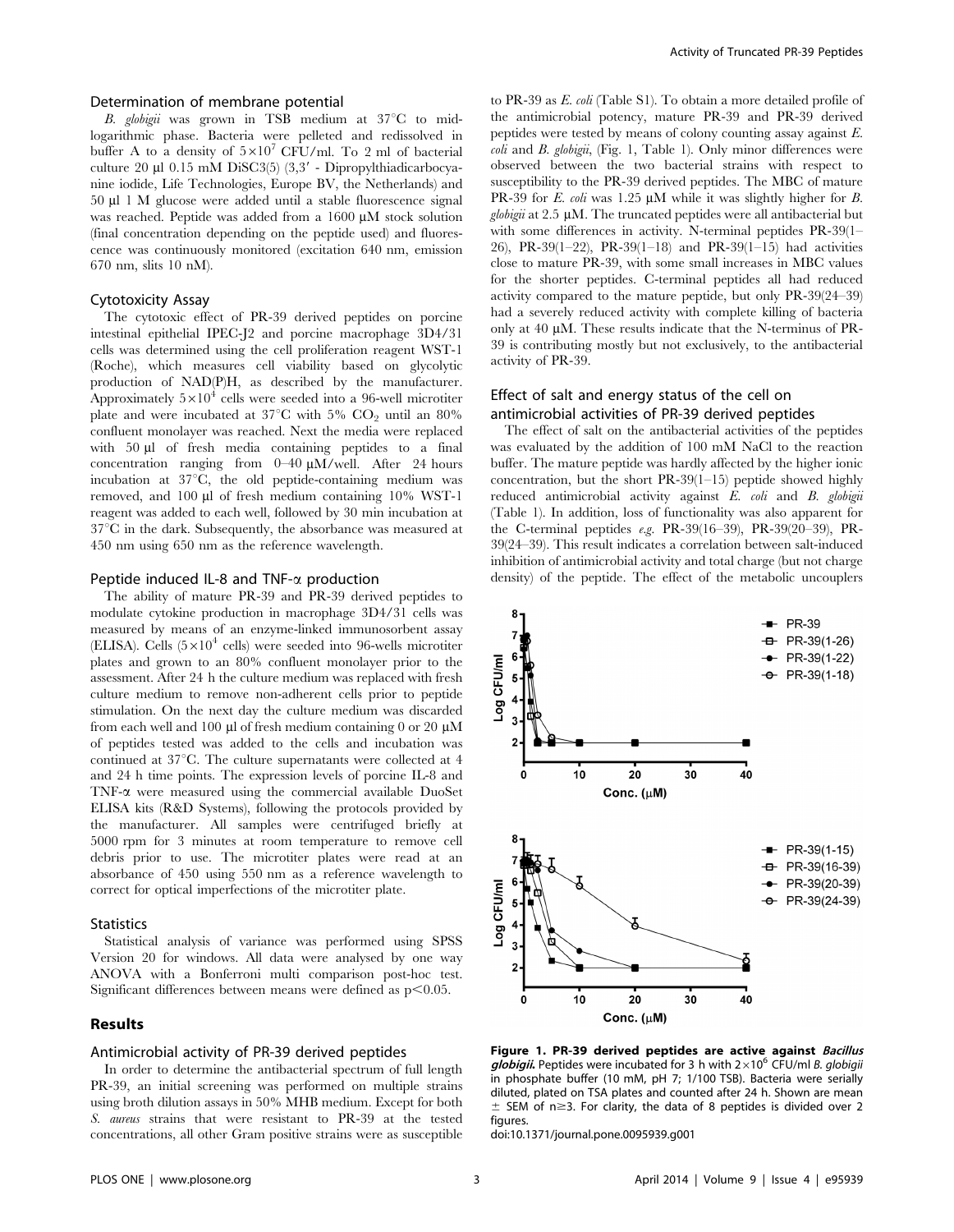# Determination of membrane potential

B. globigii was grown in TSB medium at  $37^{\circ}$ C to midlogarithmic phase. Bacteria were pelleted and redissolved in buffer A to a density of  $5\times10^7$  CFU/ml. To 2 ml of bacterial culture  $20 \mu 1$  0.15 mM DiSC3(5) (3,3' - Dipropylthiadicarbocyanine iodide, Life Technologies, Europe BV, the Netherlands) and 50 ml 1 M glucose were added until a stable fluorescence signal was reached. Peptide was added from a 1600 µM stock solution (final concentration depending on the peptide used) and fluorescence was continuously monitored (excitation 640 nm, emission 670 nm, slits 10 nM).

#### Cytotoxicity Assay

The cytotoxic effect of PR-39 derived peptides on porcine intestinal epithelial IPEC-J2 and porcine macrophage 3D4/31 cells was determined using the cell proliferation reagent WST-1 (Roche), which measures cell viability based on glycolytic production of NAD(P)H, as described by the manufacturer. Approximately  $5\times10^4$  cells were seeded into a 96-well microtiter plate and were incubated at  $37^{\circ}$ C with 5% CO<sub>2</sub> until an 80% confluent monolayer was reached. Next the media were replaced with 50 ul of fresh media containing peptides to a final concentration ranging from  $0-40 \mu M/well$ . After 24 hours incubation at  $37^{\circ}$ C, the old peptide-containing medium was removed, and 100 µl of fresh medium containing 10% WST-1 reagent was added to each well, followed by 30 min incubation at  $37^{\circ}$ C in the dark. Subsequently, the absorbance was measured at 450 nm using 650 nm as the reference wavelength.

# Peptide induced IL-8 and TNF- $\alpha$  production

The ability of mature PR-39 and PR-39 derived peptides to modulate cytokine production in macrophage 3D4/31 cells was measured by means of an enzyme-linked immunosorbent assay (ELISA). Cells  $(5\times10^4 \text{ cells})$  were seeded into 96-wells microtiter plates and grown to an 80% confluent monolayer prior to the assessment. After 24 h the culture medium was replaced with fresh culture medium to remove non-adherent cells prior to peptide stimulation. On the next day the culture medium was discarded from each well and 100  $\mu$ l of fresh medium containing 0 or 20  $\mu$ M of peptides tested was added to the cells and incubation was continued at  $37^{\circ}$ C. The culture supernatants were collected at 4 and 24 h time points. The expression levels of porcine IL-8 and TNF-a were measured using the commercial available DuoSet ELISA kits (R&D Systems), following the protocols provided by the manufacturer. All samples were centrifuged briefly at 5000 rpm for 3 minutes at room temperature to remove cell debris prior to use. The microtiter plates were read at an absorbance of 450 using 550 nm as a reference wavelength to correct for optical imperfections of the microtiter plate.

# **Statistics**

Statistical analysis of variance was performed using SPSS Version 20 for windows. All data were analysed by one way ANOVA with a Bonferroni multi comparison post-hoc test. Significant differences between means were defined as  $p<0.05$ .

# Results

# Antimicrobial activity of PR-39 derived peptides

In order to determine the antibacterial spectrum of full length PR-39, an initial screening was performed on multiple strains using broth dilution assays in 50% MHB medium. Except for both S. aureus strains that were resistant to PR-39 at the tested concentrations, all other Gram positive strains were as susceptible

to PR-39 as E. coli (Table S1). To obtain a more detailed profile of the antimicrobial potency, mature PR-39 and PR-39 derived peptides were tested by means of colony counting assay against E. coli and B. globigii, (Fig. 1, Table 1). Only minor differences were observed between the two bacterial strains with respect to susceptibility to the PR-39 derived peptides. The MBC of mature PR-39 for E. coli was 1.25  $\mu$ M while it was slightly higher for B.  $globi\ddot{q}i$  at 2.5 µM. The truncated peptides were all antibacterial but with some differences in activity. N-terminal peptides PR-39(1– 26), PR-39(1–22), PR-39(1–18) and PR-39(1–15) had activities close to mature PR-39, with some small increases in MBC values for the shorter peptides. C-terminal peptides all had reduced activity compared to the mature peptide, but only PR-39(24–39) had a severely reduced activity with complete killing of bacteria only at  $40 \mu M$ . These results indicate that the N-terminus of PR-39 is contributing mostly but not exclusively, to the antibacterial activity of PR-39.

# Effect of salt and energy status of the cell on antimicrobial activities of PR-39 derived peptides

The effect of salt on the antibacterial activities of the peptides was evaluated by the addition of 100 mM NaCl to the reaction buffer. The mature peptide was hardly affected by the higher ionic concentration, but the short PR-39(1–15) peptide showed highly reduced antimicrobial activity against E. coli and B. globigii (Table 1). In addition, loss of functionality was also apparent for the C-terminal peptides e.g. PR-39(16–39), PR-39(20–39), PR-39(24–39). This result indicates a correlation between salt-induced inhibition of antimicrobial activity and total charge (but not charge density) of the peptide. The effect of the metabolic uncouplers



Figure 1. PR-39 derived peptides are active against Bacillus globigii. Peptides were incubated for 3 h with  $2\times10^6$  CFU/ml B. globigii in phosphate buffer (10 mM, pH 7; 1/100 TSB). Bacteria were serially diluted, plated on TSA plates and counted after 24 h. Shown are mean  $\pm$  SEM of n $\geq$ 3. For clarity, the data of 8 peptides is divided over 2 figures.

doi:10.1371/journal.pone.0095939.g001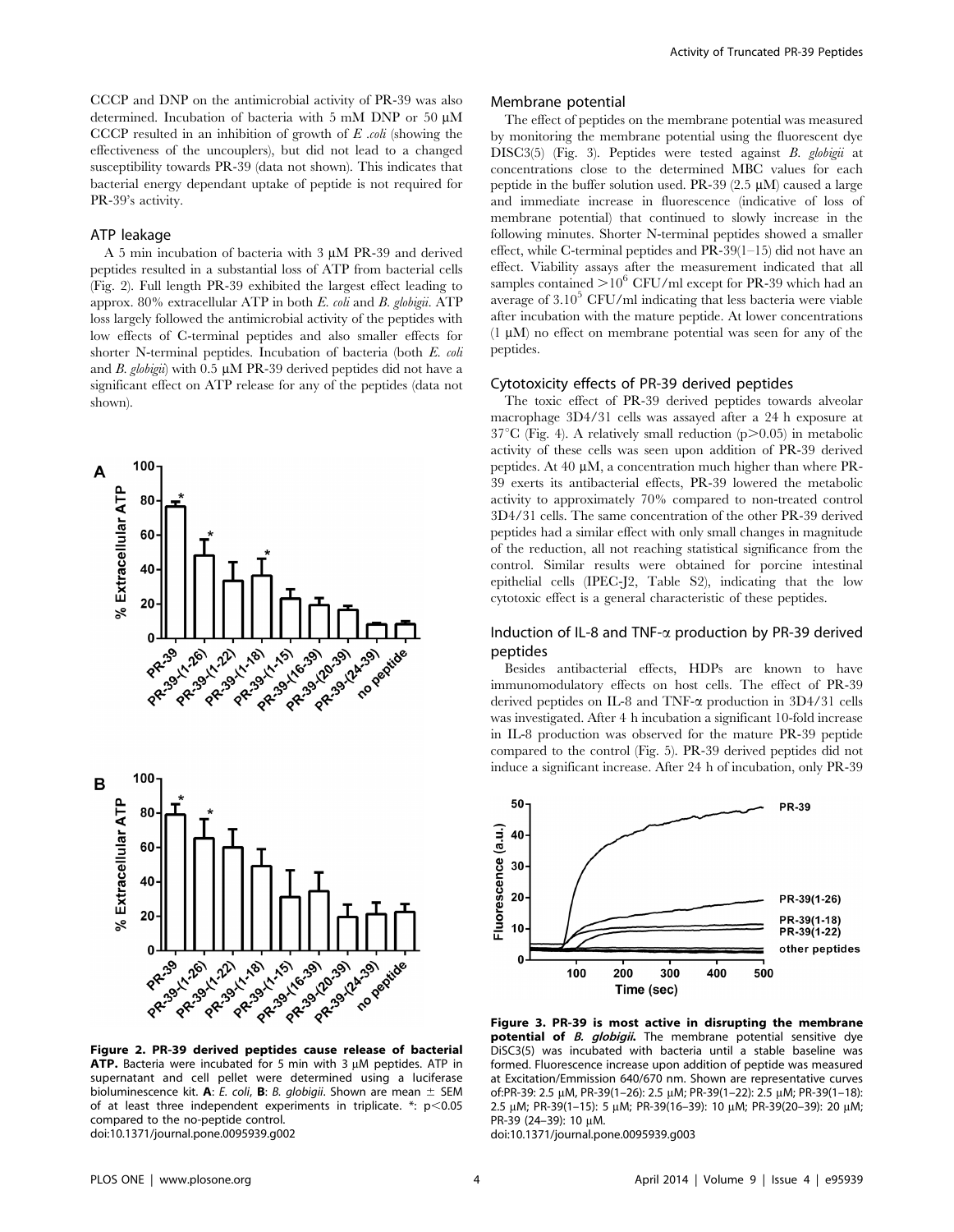CCCP and DNP on the antimicrobial activity of PR-39 was also determined. Incubation of bacteria with 5 mM DNP or 50  $\mu$ M CCCP resulted in an inhibition of growth of  $E$  *coli* (showing the effectiveness of the uncouplers), but did not lead to a changed susceptibility towards PR-39 (data not shown). This indicates that bacterial energy dependant uptake of peptide is not required for PR-39's activity.

# ATP leakage

A 5 min incubation of bacteria with 3 µM PR-39 and derived peptides resulted in a substantial loss of ATP from bacterial cells (Fig. 2). Full length PR-39 exhibited the largest effect leading to approx. 80% extracellular ATP in both E. coli and B. globigii. ATP loss largely followed the antimicrobial activity of the peptides with low effects of C-terminal peptides and also smaller effects for shorter N-terminal peptides. Incubation of bacteria (both E. coli and B. globigii) with  $0.5 \mu M$  PR-39 derived peptides did not have a significant effect on ATP release for any of the peptides (data not shown).



Figure 2. PR-39 derived peptides cause release of bacterial ATP. Bacteria were incubated for 5 min with 3  $\mu$ M peptides. ATP in supernatant and cell pellet were determined using a luciferase bioluminescence kit. A: E. coli, B: B. globigii. Shown are mean  $\pm$  SEM of at least three independent experiments in triplicate.  $*$ :  $p$  < 0.05 compared to the no-peptide control. doi:10.1371/journal.pone.0095939.g002

#### Membrane potential

The effect of peptides on the membrane potential was measured by monitoring the membrane potential using the fluorescent dye DISC3(5) (Fig. 3). Peptides were tested against B. globigii at concentrations close to the determined MBC values for each peptide in the buffer solution used. PR-39 (2.5 mM) caused a large and immediate increase in fluorescence (indicative of loss of membrane potential) that continued to slowly increase in the following minutes. Shorter N-terminal peptides showed a smaller effect, while C-terminal peptides and PR-39(1–15) did not have an effect. Viability assays after the measurement indicated that all samples contained  $>10^6$  CFU/ml except for PR-39 which had an average of  $3.10<sup>5</sup>$  CFU/ml indicating that less bacteria were viable after incubation with the mature peptide. At lower concentrations  $(1 \mu M)$  no effect on membrane potential was seen for any of the peptides.

#### Cytotoxicity effects of PR-39 derived peptides

The toxic effect of PR-39 derived peptides towards alveolar macrophage 3D4/31 cells was assayed after a 24 h exposure at  $37^{\circ}$ C (Fig. 4). A relatively small reduction (p $>0.05$ ) in metabolic activity of these cells was seen upon addition of PR-39 derived peptides. At 40  $\mu$ M, a concentration much higher than where PR-39 exerts its antibacterial effects, PR-39 lowered the metabolic activity to approximately 70% compared to non-treated control 3D4/31 cells. The same concentration of the other PR-39 derived peptides had a similar effect with only small changes in magnitude of the reduction, all not reaching statistical significance from the control. Similar results were obtained for porcine intestinal epithelial cells (IPEC-J2, Table S2), indicating that the low cytotoxic effect is a general characteristic of these peptides.

# Induction of IL-8 and TNF- $\alpha$  production by PR-39 derived peptides

Besides antibacterial effects, HDPs are known to have immunomodulatory effects on host cells. The effect of PR-39 derived peptides on IL-8 and TNF-a production in 3D4/31 cells was investigated. After 4 h incubation a significant 10-fold increase in IL-8 production was observed for the mature PR-39 peptide compared to the control (Fig. 5). PR-39 derived peptides did not induce a significant increase. After 24 h of incubation, only PR-39



Figure 3. PR-39 is most active in disrupting the membrane potential of *B. globigii*. The membrane potential sensitive dye DiSC3(5) was incubated with bacteria until a stable baseline was formed. Fluorescence increase upon addition of peptide was measured at Excitation/Emmission 640/670 nm. Shown are representative curves of:PR-39: 2.5 mM, PR-39(1–26): 2.5 mM; PR-39(1–22): 2.5 mM; PR-39(1–18): 2.5 μM; PR-39(1-15): 5 μM; PR-39(16-39): 10 μM; PR-39(20-39): 20 μM; PR-39 (24-39): 10  $\mu$ M.

doi:10.1371/journal.pone.0095939.g003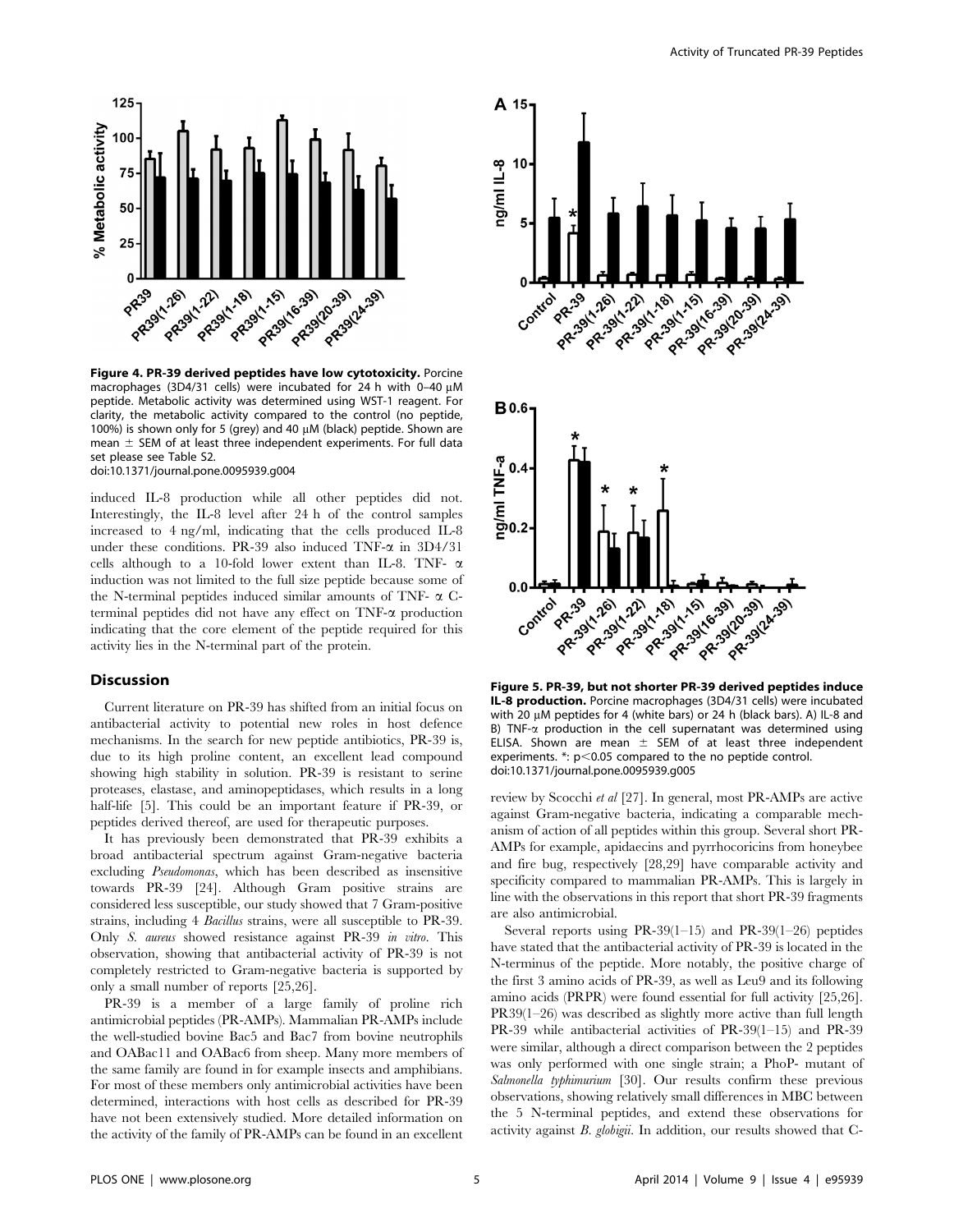

Figure 4. PR-39 derived peptides have low cytotoxicity. Porcine macrophages (3D4/31 cells) were incubated for 24 h with 0-40  $\mu$ M peptide. Metabolic activity was determined using WST-1 reagent. For clarity, the metabolic activity compared to the control (no peptide, 100%) is shown only for 5 (grey) and 40  $\mu$ M (black) peptide. Shown are mean  $\pm$  SEM of at least three independent experiments. For full data set please see Table S2. doi:10.1371/journal.pone.0095939.g004

induced IL-8 production while all other peptides did not. Interestingly, the IL-8 level after 24 h of the control samples increased to 4 ng/ml, indicating that the cells produced IL-8 under these conditions. PR-39 also induced TNF- $\alpha$  in 3D4/31 cells although to a 10-fold lower extent than IL-8. TNF-  $\alpha$ induction was not limited to the full size peptide because some of the N-terminal peptides induced similar amounts of TNF- $\alpha$  Cterminal peptides did not have any effect on  $TNF-\alpha$  production indicating that the core element of the peptide required for this activity lies in the N-terminal part of the protein.

#### Discussion

Current literature on PR-39 has shifted from an initial focus on antibacterial activity to potential new roles in host defence mechanisms. In the search for new peptide antibiotics, PR-39 is, due to its high proline content, an excellent lead compound showing high stability in solution. PR-39 is resistant to serine proteases, elastase, and aminopeptidases, which results in a long half-life [5]. This could be an important feature if PR-39, or peptides derived thereof, are used for therapeutic purposes.

It has previously been demonstrated that PR-39 exhibits a broad antibacterial spectrum against Gram-negative bacteria excluding Pseudomonas, which has been described as insensitive towards PR-39 [24]. Although Gram positive strains are considered less susceptible, our study showed that 7 Gram-positive strains, including 4 Bacillus strains, were all susceptible to PR-39. Only S. aureus showed resistance against PR-39 in vitro. This observation, showing that antibacterial activity of PR-39 is not completely restricted to Gram-negative bacteria is supported by only a small number of reports [25,26].

PR-39 is a member of a large family of proline rich antimicrobial peptides (PR-AMPs). Mammalian PR-AMPs include the well-studied bovine Bac5 and Bac7 from bovine neutrophils and OABac11 and OABac6 from sheep. Many more members of the same family are found in for example insects and amphibians. For most of these members only antimicrobial activities have been determined, interactions with host cells as described for PR-39 have not been extensively studied. More detailed information on the activity of the family of PR-AMPs can be found in an excellent



Figure 5. PR-39, but not shorter PR-39 derived peptides induce IL-8 production. Porcine macrophages (3D4/31 cells) were incubated with 20  $\mu$ M peptides for 4 (white bars) or 24 h (black bars). A) IL-8 and B) TNF- $\alpha$  production in the cell supernatant was determined using ELISA. Shown are mean  $\pm$  SEM of at least three independent experiments.  $\cdot$ :  $p$ <0.05 compared to the no peptide control. doi:10.1371/journal.pone.0095939.g005

review by Scocchi et al [27]. In general, most PR-AMPs are active against Gram-negative bacteria, indicating a comparable mechanism of action of all peptides within this group. Several short PR-AMPs for example, apidaecins and pyrrhocoricins from honeybee and fire bug, respectively [28,29] have comparable activity and specificity compared to mammalian PR-AMPs. This is largely in line with the observations in this report that short PR-39 fragments are also antimicrobial.

Several reports using PR-39(1–15) and PR-39(1–26) peptides have stated that the antibacterial activity of PR-39 is located in the N-terminus of the peptide. More notably, the positive charge of the first 3 amino acids of PR-39, as well as Leu9 and its following amino acids (PRPR) were found essential for full activity [25,26]. PR39(1–26) was described as slightly more active than full length PR-39 while antibacterial activities of PR-39(1–15) and PR-39 were similar, although a direct comparison between the 2 peptides was only performed with one single strain; a PhoP- mutant of Salmonella typhimurium [30]. Our results confirm these previous observations, showing relatively small differences in MBC between the 5 N-terminal peptides, and extend these observations for activity against B. globigii. In addition, our results showed that C-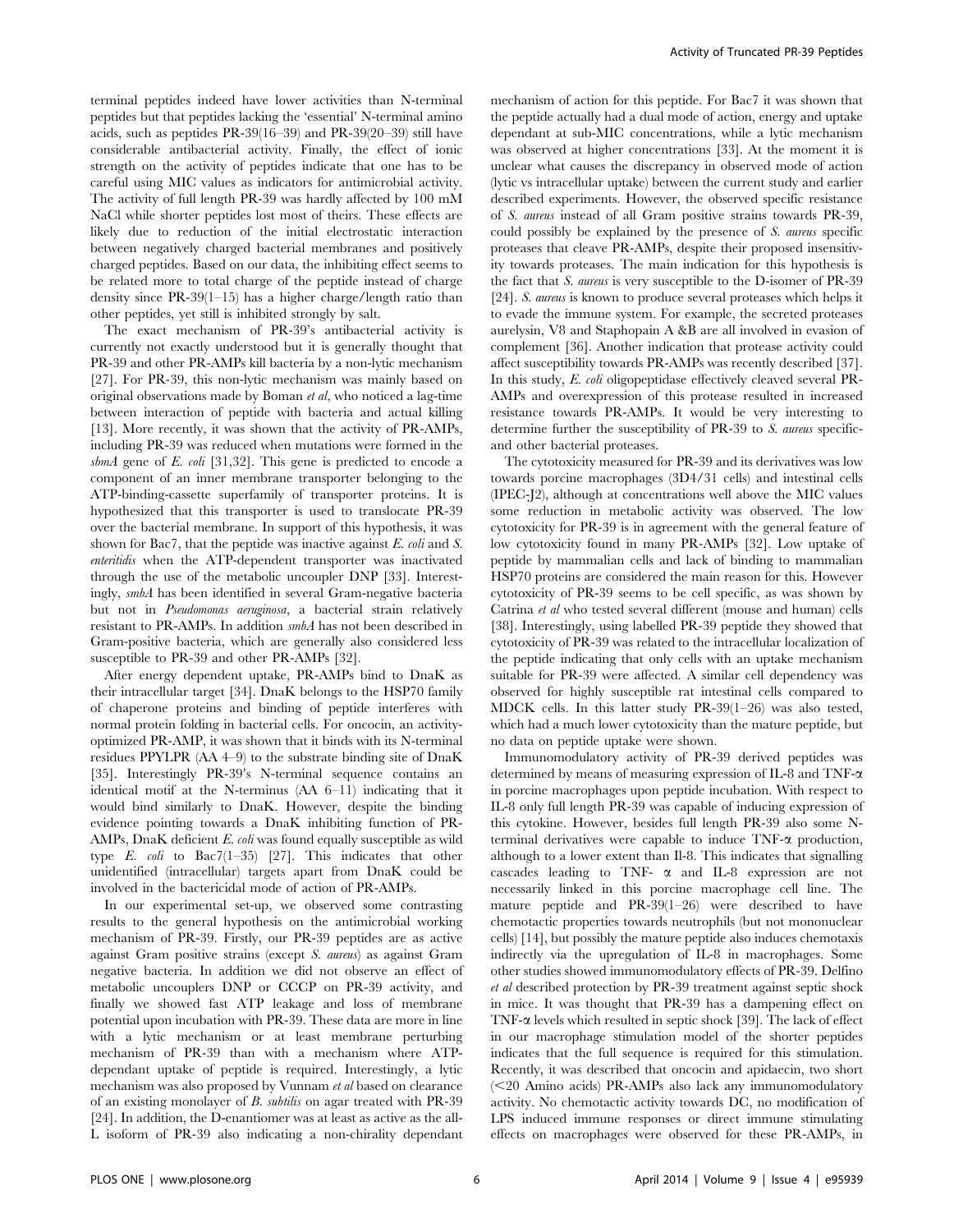terminal peptides indeed have lower activities than N-terminal peptides but that peptides lacking the 'essential' N-terminal amino acids, such as peptides PR-39(16–39) and PR-39(20–39) still have considerable antibacterial activity. Finally, the effect of ionic strength on the activity of peptides indicate that one has to be careful using MIC values as indicators for antimicrobial activity. The activity of full length PR-39 was hardly affected by 100 mM NaCl while shorter peptides lost most of theirs. These effects are likely due to reduction of the initial electrostatic interaction between negatively charged bacterial membranes and positively charged peptides. Based on our data, the inhibiting effect seems to be related more to total charge of the peptide instead of charge density since PR-39(1–15) has a higher charge/length ratio than other peptides, yet still is inhibited strongly by salt.

The exact mechanism of PR-39's antibacterial activity is currently not exactly understood but it is generally thought that PR-39 and other PR-AMPs kill bacteria by a non-lytic mechanism [27]. For PR-39, this non-lytic mechanism was mainly based on original observations made by Boman et al, who noticed a lag-time between interaction of peptide with bacteria and actual killing [13]. More recently, it was shown that the activity of PR-AMPs, including PR-39 was reduced when mutations were formed in the sbmA gene of  $E$ . coli [31,32]. This gene is predicted to encode a component of an inner membrane transporter belonging to the ATP-binding-cassette superfamily of transporter proteins. It is hypothesized that this transporter is used to translocate PR-39 over the bacterial membrane. In support of this hypothesis, it was shown for Bac7, that the peptide was inactive against E. coli and S. enteritidis when the ATP-dependent transporter was inactivated through the use of the metabolic uncoupler DNP [33]. Interestingly, smbA has been identified in several Gram-negative bacteria but not in Pseudomonas aeruginosa, a bacterial strain relatively resistant to PR-AMPs. In addition smbA has not been described in Gram-positive bacteria, which are generally also considered less susceptible to PR-39 and other PR-AMPs [32].

After energy dependent uptake, PR-AMPs bind to DnaK as their intracellular target [34]. DnaK belongs to the HSP70 family of chaperone proteins and binding of peptide interferes with normal protein folding in bacterial cells. For oncocin, an activityoptimized PR-AMP, it was shown that it binds with its N-terminal residues PPYLPR (AA 4–9) to the substrate binding site of DnaK [35]. Interestingly PR-39's N-terminal sequence contains an identical motif at the N-terminus (AA 6–11) indicating that it would bind similarly to DnaK. However, despite the binding evidence pointing towards a DnaK inhibiting function of PR-AMPs, DnaK deficient E. coli was found equally susceptible as wild type E.  $\text{coli}$  to Bac7(1-35) [27]. This indicates that other unidentified (intracellular) targets apart from DnaK could be involved in the bactericidal mode of action of PR-AMPs.

In our experimental set-up, we observed some contrasting results to the general hypothesis on the antimicrobial working mechanism of PR-39. Firstly, our PR-39 peptides are as active against Gram positive strains (except S. aureus) as against Gram negative bacteria. In addition we did not observe an effect of metabolic uncouplers DNP or CCCP on PR-39 activity, and finally we showed fast ATP leakage and loss of membrane potential upon incubation with PR-39. These data are more in line with a lytic mechanism or at least membrane perturbing mechanism of PR-39 than with a mechanism where ATPdependant uptake of peptide is required. Interestingly, a lytic mechanism was also proposed by Vunnam et al based on clearance of an existing monolayer of B. subtilis on agar treated with PR-39 [24]. In addition, the D-enantiomer was at least as active as the all-L isoform of PR-39 also indicating a non-chirality dependant

mechanism of action for this peptide. For Bac7 it was shown that the peptide actually had a dual mode of action, energy and uptake dependant at sub-MIC concentrations, while a lytic mechanism was observed at higher concentrations [33]. At the moment it is unclear what causes the discrepancy in observed mode of action (lytic vs intracellular uptake) between the current study and earlier described experiments. However, the observed specific resistance of S. aureus instead of all Gram positive strains towards PR-39, could possibly be explained by the presence of S. aureus specific proteases that cleave PR-AMPs, despite their proposed insensitivity towards proteases. The main indication for this hypothesis is the fact that S. aureus is very susceptible to the D-isomer of PR-39 [24]. S. aureus is known to produce several proteases which helps it to evade the immune system. For example, the secreted proteases aurelysin, V8 and Staphopain A &B are all involved in evasion of complement [36]. Another indication that protease activity could affect susceptibility towards PR-AMPs was recently described [37]. In this study, E. coli oligopeptidase effectively cleaved several PR-AMPs and overexpression of this protease resulted in increased resistance towards PR-AMPs. It would be very interesting to determine further the susceptibility of PR-39 to S. aureus specificand other bacterial proteases.

The cytotoxicity measured for PR-39 and its derivatives was low towards porcine macrophages (3D4/31 cells) and intestinal cells (IPEC-J2), although at concentrations well above the MIC values some reduction in metabolic activity was observed. The low cytotoxicity for PR-39 is in agreement with the general feature of low cytotoxicity found in many PR-AMPs [32]. Low uptake of peptide by mammalian cells and lack of binding to mammalian HSP70 proteins are considered the main reason for this. However cytotoxicity of PR-39 seems to be cell specific, as was shown by Catrina et al who tested several different (mouse and human) cells [38]. Interestingly, using labelled PR-39 peptide they showed that cytotoxicity of PR-39 was related to the intracellular localization of the peptide indicating that only cells with an uptake mechanism suitable for PR-39 were affected. A similar cell dependency was observed for highly susceptible rat intestinal cells compared to MDCK cells. In this latter study PR-39(1–26) was also tested, which had a much lower cytotoxicity than the mature peptide, but no data on peptide uptake were shown.

Immunomodulatory activity of PR-39 derived peptides was determined by means of measuring expression of IL-8 and TNF- $\alpha$ in porcine macrophages upon peptide incubation. With respect to IL-8 only full length PR-39 was capable of inducing expression of this cytokine. However, besides full length PR-39 also some Nterminal derivatives were capable to induce  $TNF-\alpha$  production, although to a lower extent than Il-8. This indicates that signalling cascades leading to TNF-  $\alpha$  and IL-8 expression are not necessarily linked in this porcine macrophage cell line. The mature peptide and PR-39(1–26) were described to have chemotactic properties towards neutrophils (but not mononuclear cells) [14], but possibly the mature peptide also induces chemotaxis indirectly via the upregulation of IL-8 in macrophages. Some other studies showed immunomodulatory effects of PR-39. Delfino et al described protection by PR-39 treatment against septic shock in mice. It was thought that PR-39 has a dampening effect on TNF-a levels which resulted in septic shock [39]. The lack of effect in our macrophage stimulation model of the shorter peptides indicates that the full sequence is required for this stimulation. Recently, it was described that oncocin and apidaecin, two short  $(<$ 20 Amino acids) PR-AMPs also lack any immunomodulatory activity. No chemotactic activity towards DC, no modification of LPS induced immune responses or direct immune stimulating effects on macrophages were observed for these PR-AMPs, in